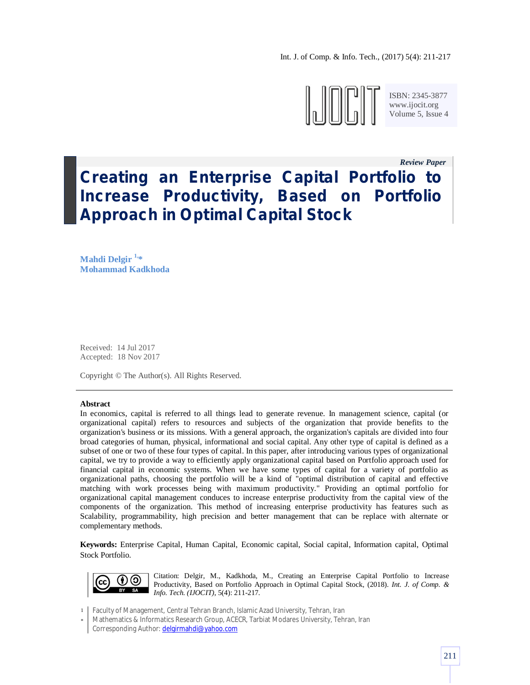Int. J. of Comp. & Info. Tech., (2017) 5(4): 211-217



ISBN: 2345-3877 www.ijocit.org Volume 5, Issue 4

# *Review Paper\_\_* **Creating an Enterprise Capital Portfolio to Increase Productivity, Based on Portfolio Approach in Optimal Capital Stock**

**Mahdi Delgir 1, \* Mohammad Kadkhoda**

Received: 14 Jul 2017 Accepted: 18 Nov 2017

Copyright © The Author(s). All Rights Reserved.

## **Abstract**

In economics, capital is referred to all things lead to generate revenue. In management science, capital (or organizational capital) refers to resources and subjects of the organization that provide benefits to the organization's business or its missions. With a general approach, the organization's capitals are divided into four broad categories of human, physical, informational and social capital. Any other type of capital is defined as a subset of one or two of these four types of capital. In this paper, after introducing various types of organizational capital, we try to provide a way to efficiently apply organizational capital based on Portfolio approach used for financial capital in economic systems. When we have some types of capital for a variety of portfolio as organizational paths, choosing the portfolio will be a kind of "optimal distribution of capital and effective matching with work processes being with maximum productivity." Providing an optimal portfolio for organizational capital management conduces to increase enterprise productivity from the capital view of the components of the organization. This method of increasing enterprise productivity has features such as Scalability, programmability, high precision and better management that can be replace with alternate or complementary methods.

**Keywords:** Enterprise Capital, Human Capital, Economic capital, Social capital, Information capital, Optimal Stock Portfolio.



Citation: Delgir, M., Kadkhoda, M., Creating an Enterprise Capital Portfolio to Increase Productivity, Based on Portfolio Approach in Optimal Capital Stock, (2018). *Int. J. of Comp. & Info. Tech. (IJOCIT)*, 5(4): 211-217.

1 Faculty of Management, Central Tehran Branch, Islamic Azad University, Tehran, Iran

\* Mathematics & Informatics Research Group, ACECR, Tarbiat Modares University, Tehran, Iran Corresponding Author: delgirmahdi@yahoo.com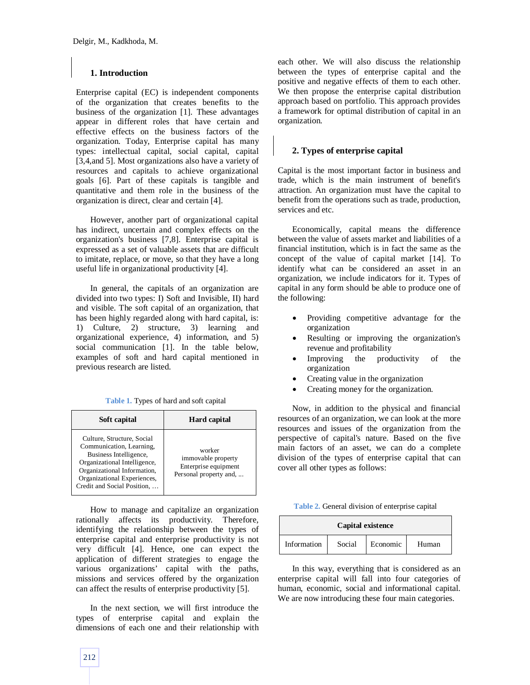# **1. Introduction**

Enterprise capital (EC) is independent components of the organization that creates benefits to the business of the organization [1]. These advantages appear in different roles that have certain and effective effects on the business factors of the organization. Today, Enterprise capital has many types: intellectual capital, social capital, capital [3,4,and 5]. Most organizations also have a variety of resources and capitals to achieve organizational goals [6]. Part of these capitals is tangible and quantitative and them role in the business of the organization is direct, clear and certain [4].

However, another part of organizational capital has indirect, uncertain and complex effects on the organization's business [7,8]. Enterprise capital is expressed as a set of valuable assets that are difficult to imitate, replace, or move, so that they have a long useful life in organizational productivity [4].

In general, the capitals of an organization are divided into two types: I) Soft and Invisible, II) hard and visible. The soft capital of an organization, that has been highly regarded along with hard capital, is: 1) Culture, 2) structure, 3) learning and organizational experience, 4) information, and 5) social communication [1]. In the table below, examples of soft and hard capital mentioned in previous research are listed.

**Table 1.** Types of hard and soft capital

| Soft capital                                                                                                                                                                                                  | <b>Hard capital</b>                                                            |
|---------------------------------------------------------------------------------------------------------------------------------------------------------------------------------------------------------------|--------------------------------------------------------------------------------|
| Culture, Structure, Social<br>Communication, Learning,<br>Business Intelligence,<br>Organizational Intelligence,<br>Organizational Information,<br>Organizational Experiences,<br>Credit and Social Position, | worker<br>immovable property<br>Enterprise equipment<br>Personal property and, |

How to manage and capitalize an organization rationally affects its productivity. Therefore, identifying the relationship between the types of enterprise capital and enterprise productivity is not very difficult [4]. Hence, one can expect the application of different strategies to engage the various organizations' capital with the paths, missions and services offered by the organization can affect the results of enterprise productivity [5].

In the next section, we will first introduce the types of enterprise capital and explain the dimensions of each one and their relationship with each other. We will also discuss the relationship between the types of enterprise capital and the positive and negative effects of them to each other. We then propose the enterprise capital distribution approach based on portfolio. This approach provides a framework for optimal distribution of capital in an organization.

# **2. Types of enterprise capital**

Capital is the most important factor in business and trade, which is the main instrument of benefit's attraction. An organization must have the capital to benefit from the operations such as trade, production, services and etc.

Economically, capital means the difference between the value of assets market and liabilities of a financial institution, which is in fact the same as the concept of the value of capital market [14]. To identify what can be considered an asset in an organization, we include indicators for it. Types of capital in any form should be able to produce one of the following:

- Providing competitive advantage for the organization
- Resulting or improving the organization's revenue and profitability
- Improving the productivity of the organization
- Creating value in the organization
- Creating money for the organization.

Now, in addition to the physical and financial resources of an organization, we can look at the more resources and issues of the organization from the perspective of capital's nature. Based on the five main factors of an asset, we can do a complete division of the types of enterprise capital that can cover all other types as follows:

| Table 2. General division of enterprise capital |  |  |  |  |
|-------------------------------------------------|--|--|--|--|
|-------------------------------------------------|--|--|--|--|

| Capital existence |        |          |       |  |
|-------------------|--------|----------|-------|--|
| Information       | Social | Economic | Human |  |

In this way, everything that is considered as an enterprise capital will fall into four categories of human, economic, social and informational capital. We are now introducing these four main categories.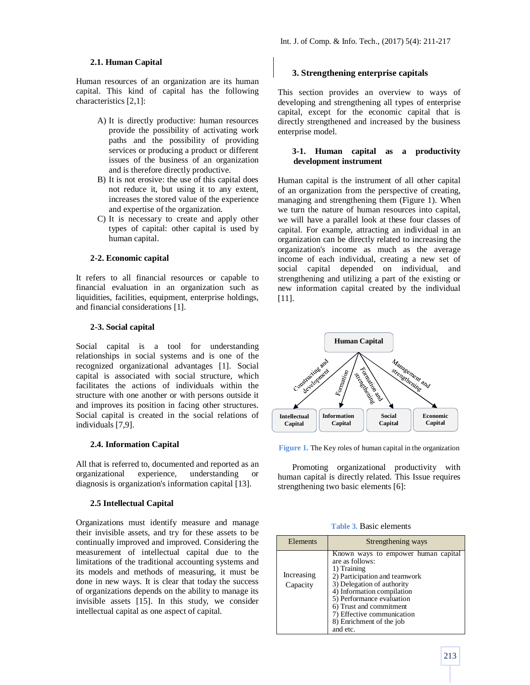### **2.1. Human Capital**

Human resources of an organization are its human capital. This kind of capital has the following characteristics [2,1]:

- A) It is directly productive: human resources provide the possibility of activating work paths and the possibility of providing services or producing a product or different issues of the business of an organization and is therefore directly productive.
- B) It is not erosive: the use of this capital does not reduce it, but using it to any extent, increases the stored value of the experience and expertise of the organization.
- C) It is necessary to create and apply other types of capital: other capital is used by human capital.

#### **2-2. Economic capital**

It refers to all financial resources or capable to financial evaluation in an organization such as liquidities, facilities, equipment, enterprise holdings, and financial considerations [1].

#### **2-3. Social capital**

Social capital is a tool for understanding relationships in social systems and is one of the recognized organizational advantages [1]. Social capital is associated with social structure, which facilitates the actions of individuals within the structure with one another or with persons outside it and improves its position in facing other structures. Social capital is created in the social relations of individuals [7,9].

#### **2.4. Information Capital**

All that is referred to, documented and reported as an organizational experience, understanding or diagnosis is organization's information capital [13].

#### **2.5 Intellectual Capital**

Organizations must identify measure and manage their invisible assets, and try for these assets to be continually improved and improved. Considering the measurement of intellectual capital due to the limitations of the traditional accounting systems and its models and methods of measuring, it must be done in new ways. It is clear that today the success of organizations depends on the ability to manage its invisible assets [15]. In this study, we consider intellectual capital as one aspect of capital.

#### **3. Strengthening enterprise capitals**

This section provides an overview to ways of developing and strengthening all types of enterprise capital, except for the economic capital that is directly strengthened and increased by the business enterprise model.

## **3-1. Human capital as a productivity development instrument**

Human capital is the instrument of all other capital of an organization from the perspective of creating, managing and strengthening them (Figure 1). When we turn the nature of human resources into capital, we will have a parallel look at these four classes of capital. For example, attracting an individual in an organization can be directly related to increasing the organization's income as much as the average income of each individual, creating a new set of social capital depended on individual, and strengthening and utilizing a part of the existing or new information capital created by the individual [11].



**Figure 1.** The Key roles of human capital in the organization

Promoting organizational productivity with human capital is directly related. This Issue requires strengthening two basic elements [6]:

**Table 3.** Basic elements

| Elements               | Strengthening ways                                                                                                                                                                                                                                                                               |  |  |
|------------------------|--------------------------------------------------------------------------------------------------------------------------------------------------------------------------------------------------------------------------------------------------------------------------------------------------|--|--|
| Increasing<br>Capacity | Known ways to empower human capital<br>are as follows:<br>1) Training<br>2) Participation and teamwork<br>3) Delegation of authority<br>4) Information compilation<br>5) Performance evaluation<br>6) Trust and commitment<br>7) Effective communication<br>8) Enrichment of the job<br>and etc. |  |  |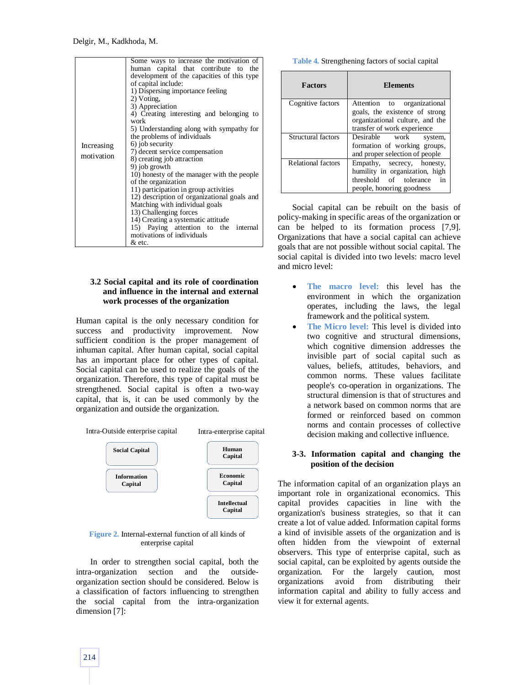| Increasing<br>motivation | Some ways to increase the motivation of<br>human capital that contribute to the<br>development of the capacities of this type<br>of capital include:<br>1) Dispersing importance feeling<br>2) Voting.<br>3) Appreciation<br>4) Creating interesting and belonging to<br>work<br>5) Understanding along with sympathy for<br>the problems of individuals<br>6) job security<br>7) decent service compensation<br>8) creating job attraction<br>9) job growth<br>10) honesty of the manager with the people<br>of the organization<br>11) participation in group activities<br>12) description of organizational goals and<br>Matching with individual goals<br>13) Challenging forces<br>14) Creating a systematic attitude |
|--------------------------|-----------------------------------------------------------------------------------------------------------------------------------------------------------------------------------------------------------------------------------------------------------------------------------------------------------------------------------------------------------------------------------------------------------------------------------------------------------------------------------------------------------------------------------------------------------------------------------------------------------------------------------------------------------------------------------------------------------------------------|
|                          | 15) Paying attention to the internal<br>motivations of individuals<br>& etc.                                                                                                                                                                                                                                                                                                                                                                                                                                                                                                                                                                                                                                                |

## **3.2 Social capital and its role of coordination and influence in the internal and external work processes of the organization**

Human capital is the only necessary condition for success and productivity improvement. Now sufficient condition is the proper management of inhuman capital. After human capital, social capital has an important place for other types of capital. Social capital can be used to realize the goals of the organization. Therefore, this type of capital must be strengthened. Social capital is often a two-way capital, that is, it can be used commonly by the organization and outside the organization.



#### **Figure 2.** Internal-external function of all kinds of enterprise capital

In order to strengthen social capital, both the intra-organization section and the outsideorganization section should be considered. Below is a classification of factors influencing to strengthen the social capital from the intra-organization dimension [7]:

|  | <b>Table 4.</b> Strengthening factors of social capital |  |  |  |
|--|---------------------------------------------------------|--|--|--|
|--|---------------------------------------------------------|--|--|--|

| <b>Factors</b>            | <b>Elements</b>                 |
|---------------------------|---------------------------------|
| Cognitive factors         | organizational<br>Attention to  |
|                           | goals, the existence of strong  |
|                           | organizational culture, and the |
|                           | transfer of work experience     |
| Structural factors        | Desirable<br>work<br>system,    |
|                           | formation of working groups,    |
|                           | and proper selection of people  |
| <b>Relational factors</b> | Empathy, secrecy, honesty,      |
|                           | humility in organization, high  |
|                           | threshold of tolerance<br>in    |
|                           | people, honoring goodness       |

Social capital can be rebuilt on the basis of policy-making in specific areas of the organization or can be helped to its formation process [7,9]. Organizations that have a social capital can achieve goals that are not possible without social capital. The social capital is divided into two levels: macro level and micro level:

- **The macro level:** this level has the environment in which the organization operates, including the laws, the legal framework and the political system.
- **The Micro level:** This level is divided into two cognitive and structural dimensions, which cognitive dimension addresses the invisible part of social capital such as values, beliefs, attitudes, behaviors, and common norms. These values facilitate people's co-operation in organizations. The structural dimension is that of structures and a network based on common norms that are formed or reinforced based on common norms and contain processes of collective decision making and collective influence.

### **3-3. Information capital and changing the position of the decision**

The information capital of an organization plays an important role in organizational economics. This capital provides capacities in line with the organization's business strategies, so that it can create a lot of value added. Information capital forms a kind of invisible assets of the organization and is often hidden from the viewpoint of external observers. This type of enterprise capital, such as social capital, can be exploited by agents outside the organization. For the largely caution, most organizations avoid from distributing their information capital and ability to fully access and view it for external agents.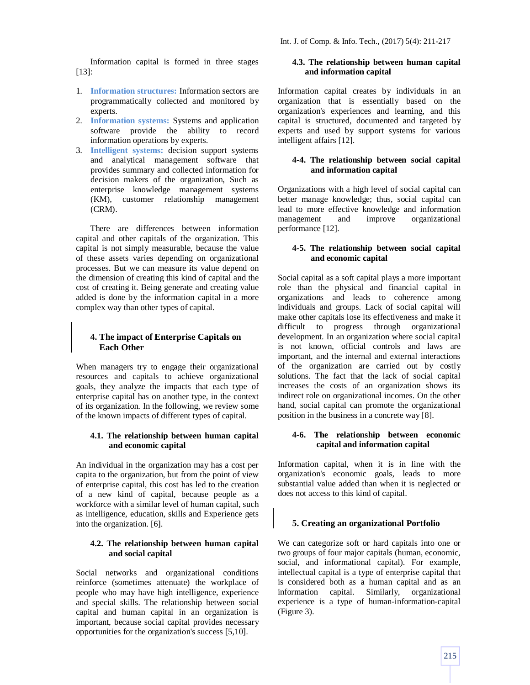Information capital is formed in three stages [13]:

- 1. **Information structures:** Information sectors are programmatically collected and monitored by experts.
- 2. **Information systems:** Systems and application software provide the ability to record information operations by experts.
- 3. **Intelligent systems:** decision support systems and analytical management software that provides summary and collected information for decision makers of the organization, Such as enterprise knowledge management systems (KM), customer relationship management (CRM).

There are differences between information capital and other capitals of the organization. This capital is not simply measurable, because the value of these assets varies depending on organizational processes. But we can measure its value depend on the dimension of creating this kind of capital and the cost of creating it. Being generate and creating value added is done by the information capital in a more complex way than other types of capital.

# **4. The impact of Enterprise Capitals on Each Other**

When managers try to engage their organizational resources and capitals to achieve organizational goals, they analyze the impacts that each type of enterprise capital has on another type, in the context of its organization. In the following, we review some of the known impacts of different types of capital.

## **4.1. The relationship between human capital and economic capital**

An individual in the organization may has a cost per capita to the organization, but from the point of view of enterprise capital, this cost has led to the creation of a new kind of capital, because people as a workforce with a similar level of human capital, such as intelligence, education, skills and Experience gets into the organization. [6].

## **4.2. The relationship between human capital and social capital**

Social networks and organizational conditions reinforce (sometimes attenuate) the workplace of people who may have high intelligence, experience and special skills. The relationship between social capital and human capital in an organization is important, because social capital provides necessary opportunities for the organization's success [5,10].

# **4.3. The relationship between human capital and information capital**

Information capital creates by individuals in an organization that is essentially based on the organization's experiences and learning, and this capital is structured, documented and targeted by experts and used by support systems for various intelligent affairs [12].

## **4-4. The relationship between social capital and information capital**

Organizations with a high level of social capital can better manage knowledge; thus, social capital can lead to more effective knowledge and information management and improve organizational performance [12].

## **4-5. The relationship between social capital and economic capital**

Social capital as a soft capital plays a more important role than the physical and financial capital in organizations and leads to coherence among individuals and groups. Lack of social capital will make other capitals lose its effectiveness and make it difficult to progress through organizational development. In an organization where social capital is not known, official controls and laws are important, and the internal and external interactions of the organization are carried out by costly solutions. The fact that the lack of social capital increases the costs of an organization shows its indirect role on organizational incomes. On the other hand, social capital can promote the organizational position in the business in a concrete way [8].

## **4-6. The relationship between economic capital and information capital**

Information capital, when it is in line with the organization's economic goals, leads to more substantial value added than when it is neglected or does not access to this kind of capital.

## **5. Creating an organizational Portfolio**

We can categorize soft or hard capitals into one or two groups of four major capitals (human, economic, social, and informational capital). For example, intellectual capital is a type of enterprise capital that is considered both as a human capital and as an information capital. Similarly, organizational experience is a type of human-information-capital (Figure 3).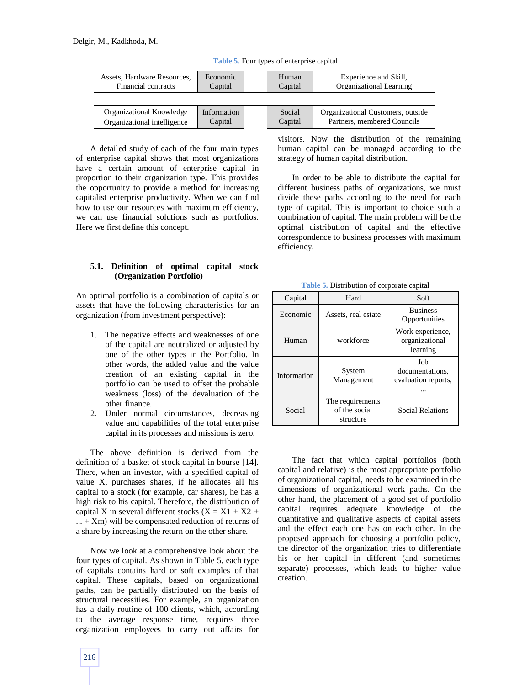| Assets, Hardware Resources, | Economic    | Human   | Experience and Skill,             |
|-----------------------------|-------------|---------|-----------------------------------|
| Financial contracts         | Capital     | Capital | Organizational Learning           |
|                             |             |         |                                   |
| Organizational Knowledge    | Information | Social  | Organizational Customers, outside |
| Organizational intelligence | Capital     | Capital | Partners, membered Councils       |

**Table 5.** Four types of enterprise capital

A detailed study of each of the four main types of enterprise capital shows that most organizations have a certain amount of enterprise capital in proportion to their organization type. This provides the opportunity to provide a method for increasing capitalist enterprise productivity. When we can find how to use our resources with maximum efficiency, we can use financial solutions such as portfolios. Here we first define this concept.

## **5.1. Definition of optimal capital stock (Organization Portfolio)**

An optimal portfolio is a combination of capitals or assets that have the following characteristics for an organization (from investment perspective):

- 1. The negative effects and weaknesses of one of the capital are neutralized or adjusted by one of the other types in the Portfolio. In other words, the added value and the value creation of an existing capital in the portfolio can be used to offset the probable weakness (loss) of the devaluation of the other finance.
- 2. Under normal circumstances, decreasing value and capabilities of the total enterprise capital in its processes and missions is zero.

The above definition is derived from the definition of a basket of stock capital in bourse [14]. There, when an investor, with a specified capital of value X, purchases shares, if he allocates all his capital to a stock (for example, car shares), he has a high risk to his capital. Therefore, the distribution of capital X in several different stocks  $(X = X1 + X2 +$  $...$  + Xm) will be compensated reduction of returns of a share by increasing the return on the other share.

Now we look at a comprehensive look about the four types of capital. As shown in Table 5, each type of capitals contains hard or soft examples of that capital. These capitals, based on organizational paths, can be partially distributed on the basis of structural necessities. For example, an organization has a daily routine of 100 clients, which, according to the average response time, requires three organization employees to carry out affairs for

visitors. Now the distribution of the remaining human capital can be managed according to the strategy of human capital distribution.

In order to be able to distribute the capital for different business paths of organizations, we must divide these paths according to the need for each type of capital. This is important to choice such a combination of capital. The main problem will be the optimal distribution of capital and the effective correspondence to business processes with maximum efficiency.

**Table 5.** Distribution of corporate capital

| Capital     | Hard                                           | Soft                                           |  |  |
|-------------|------------------------------------------------|------------------------------------------------|--|--|
| Economic    | Assets, real estate                            | <b>Business</b><br>Opportunities               |  |  |
| Human       | workforce                                      | Work experience,<br>organizational<br>learning |  |  |
| Information | System<br>Management                           | Job<br>documentations.<br>evaluation reports,  |  |  |
| Social      | The requirements<br>of the social<br>structure | Social Relations                               |  |  |

The fact that which capital portfolios (both capital and relative) is the most appropriate portfolio of organizational capital, needs to be examined in the dimensions of organizational work paths. On the other hand, the placement of a good set of portfolio capital requires adequate knowledge of the quantitative and qualitative aspects of capital assets and the effect each one has on each other. In the proposed approach for choosing a portfolio policy, the director of the organization tries to differentiate his or her capital in different (and sometimes separate) processes, which leads to higher value creation.